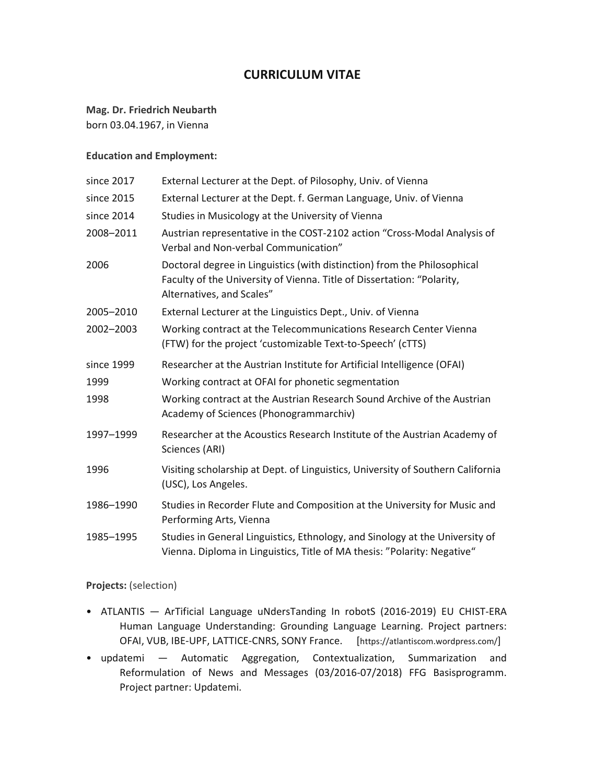# **CURRICULUM VITAE**

# **Mag. Dr. Friedrich Neubarth**

born 03.04.1967, in Vienna

#### **Education and Employment:**

| since 2017 | External Lecturer at the Dept. of Pilosophy, Univ. of Vienna                                                                                                                    |
|------------|---------------------------------------------------------------------------------------------------------------------------------------------------------------------------------|
| since 2015 | External Lecturer at the Dept. f. German Language, Univ. of Vienna                                                                                                              |
| since 2014 | Studies in Musicology at the University of Vienna                                                                                                                               |
| 2008-2011  | Austrian representative in the COST-2102 action "Cross-Modal Analysis of<br>Verbal and Non-verbal Communication"                                                                |
| 2006       | Doctoral degree in Linguistics (with distinction) from the Philosophical<br>Faculty of the University of Vienna. Title of Dissertation: "Polarity,<br>Alternatives, and Scales" |
| 2005-2010  | External Lecturer at the Linguistics Dept., Univ. of Vienna                                                                                                                     |
| 2002-2003  | Working contract at the Telecommunications Research Center Vienna<br>(FTW) for the project 'customizable Text-to-Speech' (cTTS)                                                 |
| since 1999 | Researcher at the Austrian Institute for Artificial Intelligence (OFAI)                                                                                                         |
| 1999       | Working contract at OFAI for phonetic segmentation                                                                                                                              |
| 1998       | Working contract at the Austrian Research Sound Archive of the Austrian<br>Academy of Sciences (Phonogrammarchiv)                                                               |
| 1997-1999  | Researcher at the Acoustics Research Institute of the Austrian Academy of<br>Sciences (ARI)                                                                                     |
| 1996       | Visiting scholarship at Dept. of Linguistics, University of Southern California<br>(USC), Los Angeles.                                                                          |
| 1986-1990  | Studies in Recorder Flute and Composition at the University for Music and<br>Performing Arts, Vienna                                                                            |
| 1985-1995  | Studies in General Linguistics, Ethnology, and Sinology at the University of<br>Vienna. Diploma in Linguistics, Title of MA thesis: "Polarity: Negative"                        |

## **Projects:** (selection)

- ATLANTIS ArTificial Language uNdersTanding In robotS (2016-2019) EU CHIST-ERA Human Language Understanding: Grounding Language Learning. Project partners: OFAI, VUB, IBE-UPF, LATTICE-CNRS, SONY France. [https://atlantiscom.wordpress.com/]
- updatemi Automatic Aggregation, Contextualization, Summarization and Reformulation of News and Messages (03/2016-07/2018) FFG Basisprogramm. Project partner: Updatemi.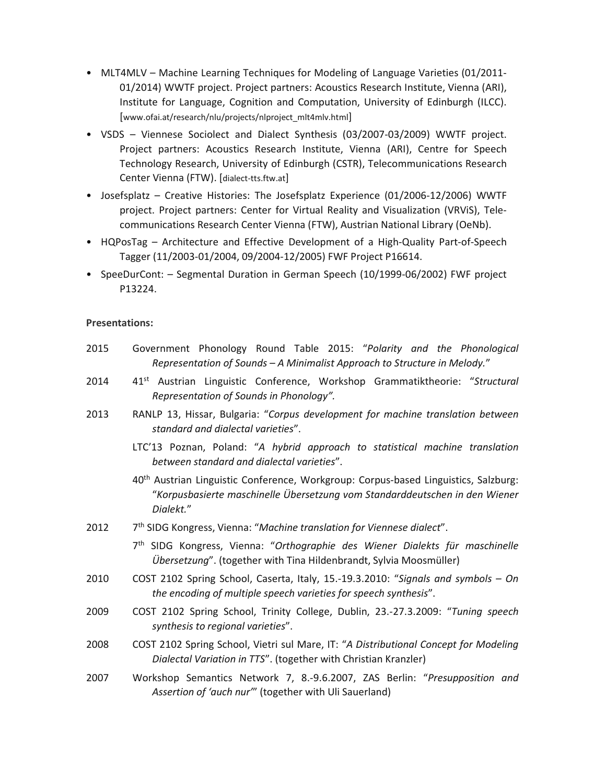- MLT4MLV Machine Learning Techniques for Modeling of Language Varieties (01/2011- 01/2014) WWTF project. Project partners: Acoustics Research Institute, Vienna (ARI), Institute for Language, Cognition and Computation, University of Edinburgh (ILCC). [www.ofai.at/research/nlu/projects/nlproject\_mlt4mlv.html]
- VSDS Viennese Sociolect and Dialect Synthesis (03/2007-03/2009) WWTF project. Project partners: Acoustics Research Institute, Vienna (ARI), Centre for Speech Technology Research, University of Edinburgh (CSTR), Telecommunications Research Center Vienna (FTW). [dialect-tts.ftw.at]
- Josefsplatz Creative Histories: The Josefsplatz Experience (01/2006-12/2006) WWTF project. Project partners: Center for Virtual Reality and Visualization (VRViS), Telecommunications Research Center Vienna (FTW), Austrian National Library (OeNb).
- HQPosTag Architecture and Effective Development of a High-Quality Part-of-Speech Tagger (11/2003-01/2004, 09/2004-12/2005) FWF Project P16614.
- SpeeDurCont: Segmental Duration in German Speech (10/1999-06/2002) FWF project P13224.

#### **Presentations:**

- 2015 Government Phonology Round Table 2015: "*Polarity and the Phonological Representation of Sounds – A Minimalist Approach to Structure in Melody.*"
- 2014 41st Austrian Linguistic Conference, Workshop Grammatiktheorie: "*Structural Representation of Sounds in Phonology".*
- 2013 RANLP 13, Hissar, Bulgaria: "*Corpus development for machine translation between standard and dialectal varieties*".
	- LTC'13 Poznan, Poland: "*A hybrid approach to statistical machine translation between standard and dialectal varieties*".
	- 40th Austrian Linguistic Conference, Workgroup: Corpus-based Linguistics, Salzburg: "*Korpusbasierte maschinelle Übersetzung vom Standarddeutschen in den Wiener Dialekt.*"
- 2012 7th SIDG Kongress, Vienna: "*Machine translation for Viennese dialect*".
	- 7th SIDG Kongress, Vienna: "*Orthographie des Wiener Dialekts für maschinelle Übersetzung*". (together with Tina Hildenbrandt, Sylvia Moosmüller)
- 2010 COST 2102 Spring School, Caserta, Italy, 15.-19.3.2010: "*Signals and symbols On the encoding of multiple speech varieties for speech synthesis*".
- 2009 COST 2102 Spring School, Trinity College, Dublin, 23.-27.3.2009: "*Tuning speech synthesis to regional varieties*".
- 2008 COST 2102 Spring School, Vietri sul Mare, IT: "*A Distributional Concept for Modeling Dialectal Variation in TTS*". (together with Christian Kranzler)
- 2007 Workshop Semantics Network 7, 8.-9.6.2007, ZAS Berlin: "*Presupposition and Assertion of 'auch nur'*" (together with Uli Sauerland)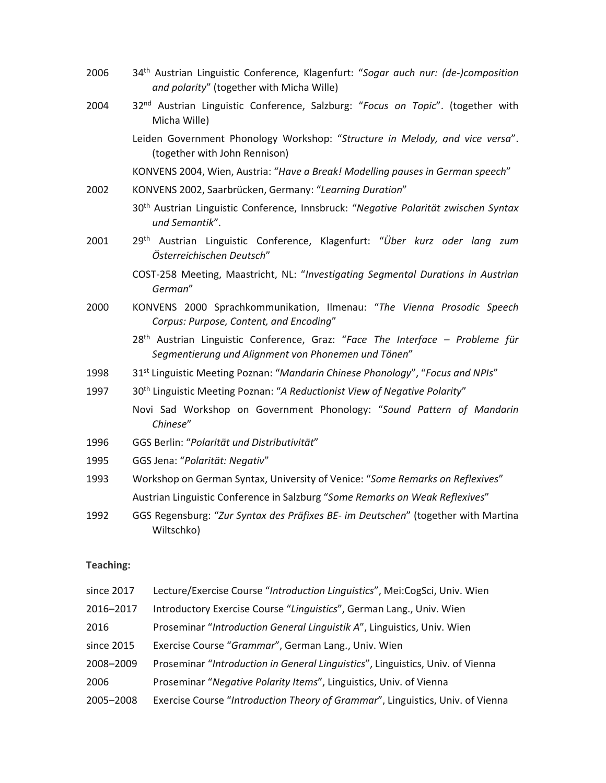2006 34th Austrian Linguistic Conference, Klagenfurt: "*Sogar auch nur: (de-)composition and polarity*" (together with Micha Wille) 2004 32nd Austrian Linguistic Conference, Salzburg: "*Focus on Topic*". (together with Micha Wille) Leiden Government Phonology Workshop: "*Structure in Melody, and vice versa*". (together with John Rennison) KONVENS 2004, Wien, Austria: "*Have a Break! Modelling pauses in German speech*" 2002 KONVENS 2002, Saarbrücken, Germany: "*Learning Duration*" 30th Austrian Linguistic Conference, Innsbruck: "*Negative Polarität zwischen Syntax und Semantik*". 2001 29th Austrian Linguistic Conference, Klagenfurt: "*Über kurz oder lang zum Österreichischen Deutsch*" COST-258 Meeting, Maastricht, NL: "*Investigating Segmental Durations in Austrian German*" 2000 KONVENS 2000 Sprachkommunikation, Ilmenau: "*The Vienna Prosodic Speech Corpus: Purpose, Content, and Encoding*" 28th Austrian Linguistic Conference, Graz: "*Face The Interface – Probleme für Segmentierung und Alignment von Phonemen und Tönen*" 1998 31st Linguistic Meeting Poznan: "*Mandarin Chinese Phonology*", "*Focus and NPIs*" 1997 30th Linguistic Meeting Poznan: "*A Reductionist View of Negative Polarity*" Novi Sad Workshop on Government Phonology: "*Sound Pattern of Mandarin Chinese*" 1996 GGS Berlin: "*Polarität und Distributivität*" 1995 GGS Jena: "*Polarität: Negativ*" 1993 Workshop on German Syntax, University of Venice: "*Some Remarks on Reflexives*" Austrian Linguistic Conference in Salzburg "*Some Remarks on Weak Reflexives*" 1992 GGS Regensburg: "*Zur Syntax des Präfixes BE- im Deutschen*" (together with Martina Wiltschko)

#### **Teaching:**

since 2017 Lecture/Exercise Course "*Introduction Linguistics*", Mei:CogSci, Univ. Wien 2016–2017 Introductory Exercise Course "*Linguistics*", German Lang., Univ. Wien 2016 Proseminar "*Introduction General Linguistik A*", Linguistics, Univ. Wien since 2015 Exercise Course "*Grammar*", German Lang., Univ. Wien 2008–2009 Proseminar "*Introduction in General Linguistics*", Linguistics, Univ. of Vienna 2006 Proseminar "*Negative Polarity Items*", Linguistics, Univ. of Vienna 2005–2008 Exercise Course "*Introduction Theory of Grammar*", Linguistics, Univ. of Vienna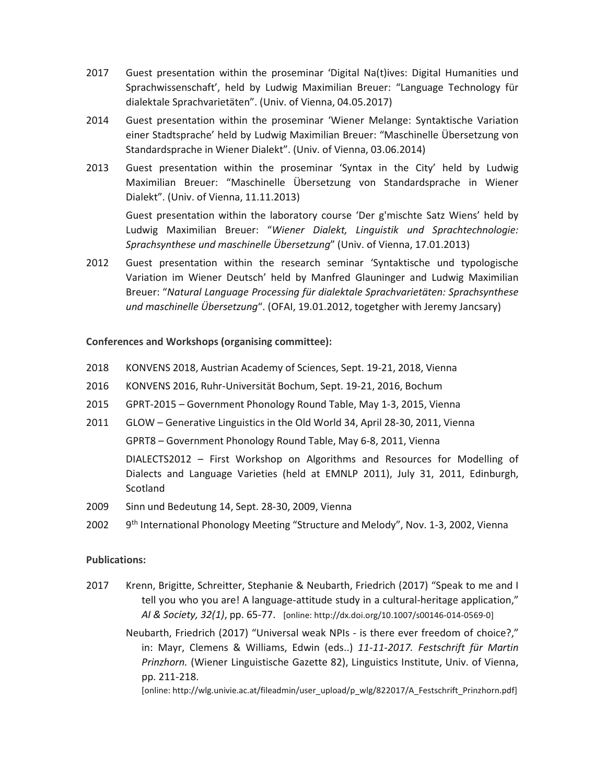- 2017 Guest presentation within the proseminar 'Digital Na(t)ives: Digital Humanities und Sprachwissenschaft', held by Ludwig Maximilian Breuer: "Language Technology für dialektale Sprachvarietäten". (Univ. of Vienna, 04.05.2017)
- 2014 Guest presentation within the proseminar 'Wiener Melange: Syntaktische Variation einer Stadtsprache' held by Ludwig Maximilian Breuer: "Maschinelle Übersetzung von Standardsprache in Wiener Dialekt". (Univ. of Vienna, 03.06.2014)
- 2013 Guest presentation within the proseminar 'Syntax in the City' held by Ludwig Maximilian Breuer: "Maschinelle Übersetzung von Standardsprache in Wiener Dialekt". (Univ. of Vienna, 11.11.2013)

 Guest presentation within the laboratory course 'Der g'mischte Satz Wiens' held by Ludwig Maximilian Breuer: "*Wiener Dialekt, Linguistik und Sprachtechnologie: Sprachsynthese und maschinelle Übersetzung*" (Univ. of Vienna, 17.01.2013)

2012 Guest presentation within the research seminar 'Syntaktische und typologische Variation im Wiener Deutsch' held by Manfred Glauninger and Ludwig Maximilian Breuer: "*Natural Language Processing für dialektale Sprachvarietäten: Sprachsynthese und maschinelle Übersetzung*". (OFAI, 19.01.2012, togetgher with Jeremy Jancsary)

## **Conferences and Workshops (organising committee):**

- 2018 KONVENS 2018, Austrian Academy of Sciences, Sept. 19-21, 2018, Vienna
- 2016 KONVENS 2016, Ruhr-Universität Bochum, Sept. 19-21, 2016, Bochum
- 2015 GPRT-2015 Government Phonology Round Table, May 1-3, 2015, Vienna
- 2011 GLOW Generative Linguistics in the Old World 34, April 28-30, 2011, Vienna GPRT8 – Government Phonology Round Table, May 6-8, 2011, Vienna DIALECTS2012 – First Workshop on Algorithms and Resources for Modelling of Dialects and Language Varieties (held at EMNLP 2011), July 31, 2011, Edinburgh, Scotland
- 2009 Sinn und Bedeutung 14, Sept. 28-30, 2009, Vienna
- 2002  $9<sup>th</sup> International Phonology Meeting "Structure and Melody", Nov. 1-3, 2002, Vienna"$

## **Publications:**

2017 Krenn, Brigitte, Schreitter, Stephanie & Neubarth, Friedrich (2017) "Speak to me and I tell you who you are! A language-attitude study in a cultural-heritage application," *AI & Society, 32(1)*, pp. 65-77. [online: http://dx.doi.org/10.1007/s00146-014-0569-0]

 Neubarth, Friedrich (2017) "Universal weak NPIs - is there ever freedom of choice?," in: Mayr, Clemens & Williams, Edwin (eds..) *11-11-2017. Festschrift für Martin Prinzhorn.* (Wiener Linguistische Gazette 82), Linguistics Institute, Univ. of Vienna, pp. 211-218.

[online: http://wlg.univie.ac.at/fileadmin/user\_upload/p\_wlg/822017/A\_Festschrift\_Prinzhorn.pdf]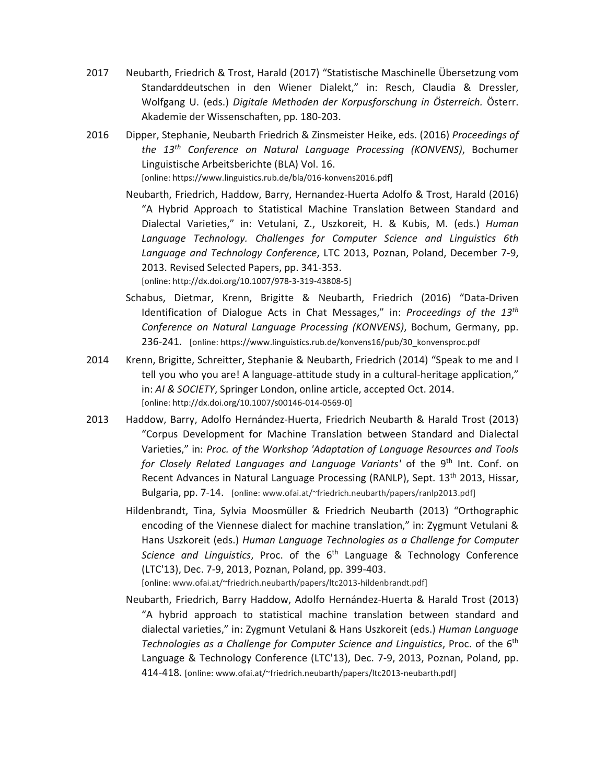- 2017 Neubarth, Friedrich & Trost, Harald (2017) "Statistische Maschinelle Übersetzung vom Standarddeutschen in den Wiener Dialekt," in: Resch, Claudia & Dressler, Wolfgang U. (eds.) *Digitale Methoden der Korpusforschung in Österreich.* Österr. Akademie der Wissenschaften, pp. 180-203.
- 2016 Dipper, Stephanie, Neubarth Friedrich & Zinsmeister Heike, eds. (2016) *Proceedings of the 13th Conference on Natural Language Processing (KONVENS)*, Bochumer Linguistische Arbeitsberichte (BLA) Vol. 16. [online: https://www.linguistics.rub.de/bla/016-konvens2016.pdf]

 Neubarth, Friedrich, Haddow, Barry, Hernandez-Huerta Adolfo & Trost, Harald (2016) "A Hybrid Approach to Statistical Machine Translation Between Standard and Dialectal Varieties," in: Vetulani, Z., Uszkoreit, H. & Kubis, M. (eds.) *Human Language Technology. Challenges for Computer Science and Linguistics 6th Language and Technology Conference*, LTC 2013, Poznan, Poland, December 7-9, 2013. Revised Selected Papers, pp. 341-353. [online: http://dx.doi.org/10.1007/978-3-319-43808-5]

- Schabus, Dietmar, Krenn, Brigitte & Neubarth, Friedrich (2016) "Data-Driven Identification of Dialogue Acts in Chat Messages," in: *Proceedings of the 13th Conference on Natural Language Processing (KONVENS)*, Bochum, Germany, pp. 236-241. [online: https://www.linguistics.rub.de/konvens16/pub/30\_konvensproc.pdf
- 2014 Krenn, Brigitte, Schreitter, Stephanie & Neubarth, Friedrich (2014) "Speak to me and I tell you who you are! A language-attitude study in a cultural-heritage application," in: *AI & SOCIETY*, Springer London, online article, accepted Oct. 2014. [online: http://dx.doi.org/10.1007/s00146-014-0569-0]
- 2013 Haddow, Barry, Adolfo Hernández-Huerta, Friedrich Neubarth & Harald Trost (2013) "Corpus Development for Machine Translation between Standard and Dialectal Varieties," in: *Proc. of the Workshop 'Adaptation of Language Resources and Tools*  for Closely Related Languages and Language Variants' of the 9<sup>th</sup> Int. Conf. on Recent Advances in Natural Language Processing (RANLP), Sept. 13<sup>th</sup> 2013, Hissar, Bulgaria, pp. 7-14. [online: www.ofai.at/~friedrich.neubarth/papers/ranlp2013.pdf]
	- Hildenbrandt, Tina, Sylvia Moosmüller & Friedrich Neubarth (2013) "Orthographic encoding of the Viennese dialect for machine translation," in: Zygmunt Vetulani & Hans Uszkoreit (eds.) *Human Language Technologies as a Challenge for Computer Science and Linguistics*, Proc. of the 6<sup>th</sup> Language & Technology Conference (LTC'13), Dec. 7-9, 2013, Poznan, Poland, pp. 399-403.

[online: www.ofai.at/~friedrich.neubarth/papers/ltc2013-hildenbrandt.pdf]

 Neubarth, Friedrich, Barry Haddow, Adolfo Hernández-Huerta & Harald Trost (2013) "A hybrid approach to statistical machine translation between standard and dialectal varieties," in: Zygmunt Vetulani & Hans Uszkoreit (eds.) *Human Language Technologies as a Challenge for Computer Science and Linguistics*, Proc. of the 6<sup>th</sup> Language & Technology Conference (LTC'13), Dec. 7-9, 2013, Poznan, Poland, pp. 414-418. [online: www.ofai.at/~friedrich.neubarth/papers/ltc2013-neubarth.pdf]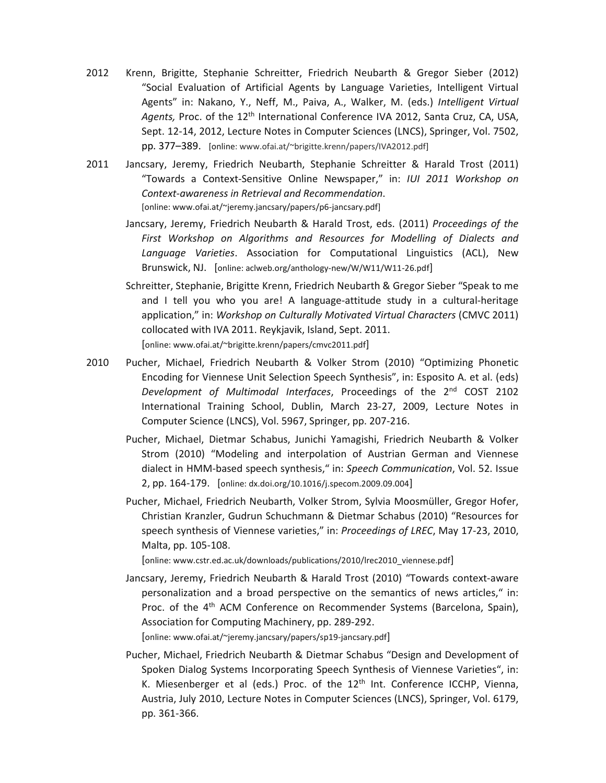- 2012 Krenn, Brigitte, Stephanie Schreitter, Friedrich Neubarth & Gregor Sieber (2012) "Social Evaluation of Artificial Agents by Language Varieties, Intelligent Virtual Agents" in: Nakano, Y., Neff, M., Paiva, A., Walker, M. (eds.) *Intelligent Virtual Agents,* Proc. of the 12th International Conference IVA 2012, Santa Cruz, CA, USA, Sept. 12-14, 2012, Lecture Notes in Computer Sciences (LNCS), Springer, Vol. 7502, pp. 377–389. [online: www.ofai.at/~brigitte.krenn/papers/IVA2012.pdf]
- 2011 Jancsary, Jeremy, Friedrich Neubarth, Stephanie Schreitter & Harald Trost (2011) "Towards a Context-Sensitive Online Newspaper," in: *IUI 2011 Workshop on Context-awareness in Retrieval and Recommendation*. [online: www.ofai.at/~jeremy.jancsary/papers/p6-jancsary.pdf]
	- Jancsary, Jeremy, Friedrich Neubarth & Harald Trost, eds. (2011) *Proceedings of the First Workshop on Algorithms and Resources for Modelling of Dialects and Language Varieties*. Association for Computational Linguistics (ACL), New Brunswick, NJ. [online: aclweb.org/anthology-new/W/W11/W11-26.pdf]
	- Schreitter, Stephanie, Brigitte Krenn, Friedrich Neubarth & Gregor Sieber "Speak to me and I tell you who you are! A language-attitude study in a cultural-heritage application," in: *Workshop on Culturally Motivated Virtual Characters* (CMVC 2011) collocated with IVA 2011. Reykjavik, Island, Sept. 2011. [online: www.ofai.at/~brigitte.krenn/papers/cmvc2011.pdf]
- 2010 Pucher, Michael, Friedrich Neubarth & Volker Strom (2010) "Optimizing Phonetic Encoding for Viennese Unit Selection Speech Synthesis", in: Esposito A. et al. (eds) *Development of Multimodal Interfaces*, Proceedings of the 2nd COST 2102 International Training School, Dublin, March 23-27, 2009, Lecture Notes in Computer Science (LNCS), Vol. 5967, Springer, pp. 207-216.
	- Pucher, Michael, Dietmar Schabus, Junichi Yamagishi, Friedrich Neubarth & Volker Strom (2010) "Modeling and interpolation of Austrian German and Viennese dialect in HMM-based speech synthesis," in: *Speech Communication*, Vol. 52. Issue 2, pp. 164-179. [online: dx.doi.org/10.1016/j.specom.2009.09.004]
	- Pucher, Michael, Friedrich Neubarth, Volker Strom, Sylvia Moosmüller, Gregor Hofer, Christian Kranzler, Gudrun Schuchmann & Dietmar Schabus (2010) "Resources for speech synthesis of Viennese varieties," in: *Proceedings of LREC*, May 17-23, 2010, Malta, pp. 105-108.

[online: www.cstr.ed.ac.uk/downloads/publications/2010/lrec2010\_viennese.pdf]

 Jancsary, Jeremy, Friedrich Neubarth & Harald Trost (2010) "Towards context-aware personalization and a broad perspective on the semantics of news articles," in: Proc. of the 4<sup>th</sup> ACM Conference on Recommender Systems (Barcelona, Spain), Association for Computing Machinery, pp. 289-292.

[online: www.ofai.at/~jeremy.jancsary/papers/sp19-jancsary.pdf]

 Pucher, Michael, Friedrich Neubarth & Dietmar Schabus "Design and Development of Spoken Dialog Systems Incorporating Speech Synthesis of Viennese Varieties", in: K. Miesenberger et al (eds.) Proc. of the 12<sup>th</sup> Int. Conference ICCHP, Vienna, Austria, July 2010, Lecture Notes in Computer Sciences (LNCS), Springer, Vol. 6179, pp. 361-366.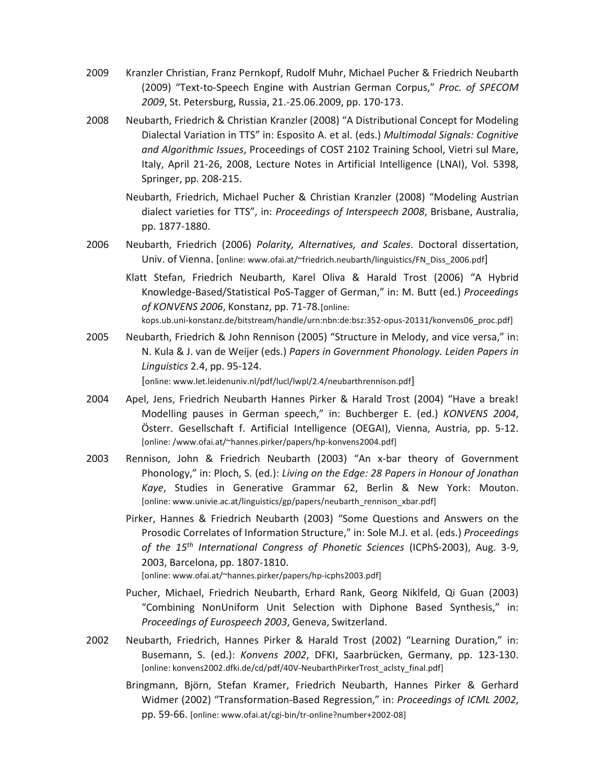- 2009 Kranzler Christian, Franz Pernkopf, Rudolf Muhr, Michael Pucher & Friedrich Neubarth (2009) "Text-to-Speech Engine with Austrian German Corpus," *Proc. of SPECOM 2009*, St. Petersburg, Russia, 21.-25.06.2009, pp. 170-173.
- 2008 Neubarth, Friedrich & Christian Kranzler (2008) "A Distributional Concept for Modeling Dialectal Variation in TTS" in: Esposito A. et al. (eds.) *Multimodal Signals: Cognitive and Algorithmic Issues*, Proceedings of COST 2102 Training School, Vietri sul Mare, Italy, April 21-26, 2008, Lecture Notes in Artificial Intelligence (LNAI), Vol. 5398, Springer, pp. 208-215.
	- Neubarth, Friedrich, Michael Pucher & Christian Kranzler (2008) "Modeling Austrian dialect varieties for TTS", in: *Proceedings of Interspeech 2008*, Brisbane, Australia, pp. 1877-1880.
- 2006 Neubarth, Friedrich (2006) *Polarity, Alternatives, and Scales*. Doctoral dissertation, Univ. of Vienna. [online: www.ofai.at/~friedrich.neubarth/linguistics/FN\_Diss\_2006.pdf]
	- Klatt Stefan, Friedrich Neubarth, Karel Oliva & Harald Trost (2006) "A Hybrid Knowledge-Based/Statistical PoS-Tagger of German," in: M. Butt (ed.) *Proceedings of KONVENS 2006*, Konstanz, pp. 71-78. [online:

kops.ub.uni-konstanz.de/bitstream/handle/urn:nbn:de:bsz:352-opus-20131/konvens06\_proc.pdf]

2005 Neubarth, Friedrich & John Rennison (2005) "Structure in Melody, and vice versa," in: N. Kula & J. van de Weijer (eds.) *Papers in Government Phonology. Leiden Papers in Linguistics* 2.4, pp. 95-124.

[online: www.let.leidenuniv.nl/pdf/lucl/lwpl/2.4/neubarthrennison.pdf]

- 2004 Apel, Jens, Friedrich Neubarth Hannes Pirker & Harald Trost (2004) "Have a break! Modelling pauses in German speech," in: Buchberger E. (ed.) *KONVENS 2004*, Österr. Gesellschaft f. Artificial Intelligence (OEGAI), Vienna, Austria, pp. 5-12. [online: /www.ofai.at/~hannes.pirker/papers/hp-konvens2004.pdf]
- 2003 Rennison, John & Friedrich Neubarth (2003) "An x-bar theory of Government Phonology," in: Ploch, S. (ed.): *Living on the Edge: 28 Papers in Honour of Jonathan Kaye*, Studies in Generative Grammar 62, Berlin & New York: Mouton. [online: www.univie.ac.at/linguistics/gp/papers/neubarth\_rennison\_xbar.pdf]

 Pirker, Hannes & Friedrich Neubarth (2003) "Some Questions and Answers on the Prosodic Correlates of Information Structure," in: Sole M.J. et al. (eds.) *Proceedings of the 15th International Congress of Phonetic Sciences* (ICPhS-2003), Aug. 3-9, 2003, Barcelona, pp. 1807-1810.

[online: www.ofai.at/~hannes.pirker/papers/hp-icphs2003.pdf]

- Pucher, Michael, Friedrich Neubarth, Erhard Rank, Georg Niklfeld, Qi Guan (2003) "Combining NonUniform Unit Selection with Diphone Based Synthesis," in: *Proceedings of Eurospeech 2003*, Geneva, Switzerland.
- 2002 Neubarth, Friedrich, Hannes Pirker & Harald Trost (2002) "Learning Duration," in: Busemann, S. (ed.): *Konvens 2002*, DFKI, Saarbrücken, Germany, pp. 123-130. [online: konvens2002.dfki.de/cd/pdf/40V-NeubarthPirkerTrost\_aclsty\_final.pdf]
	- Bringmann, Björn, Stefan Kramer, Friedrich Neubarth, Hannes Pirker & Gerhard Widmer (2002) "Transformation-Based Regression," in: *Proceedings of ICML 2002*, pp. 59-66. [online: www.ofai.at/cgi-bin/tr-online?number+2002-08]